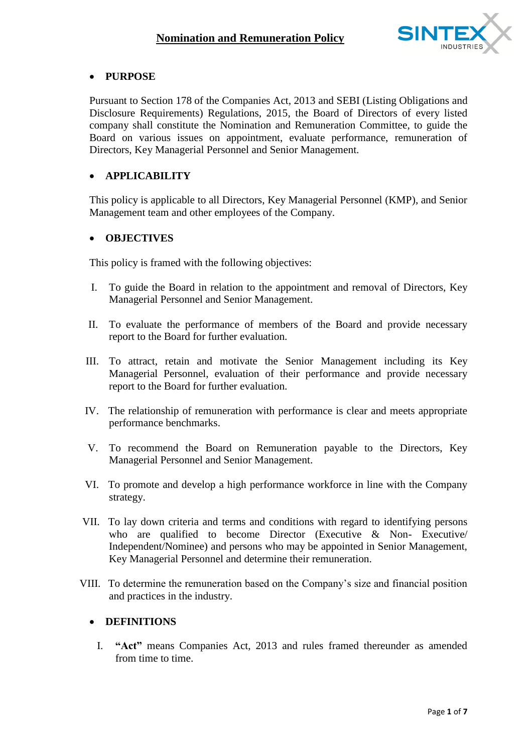

## **PURPOSE**

Pursuant to Section 178 of the Companies Act, 2013 and SEBI (Listing Obligations and Disclosure Requirements) Regulations, 2015, the Board of Directors of every listed company shall constitute the Nomination and Remuneration Committee, to guide the Board on various issues on appointment, evaluate performance, remuneration of Directors, Key Managerial Personnel and Senior Management.

## **APPLICABILITY**

This policy is applicable to all Directors, Key Managerial Personnel (KMP), and Senior Management team and other employees of the Company.

## **OBJECTIVES**

This policy is framed with the following objectives:

- I. To guide the Board in relation to the appointment and removal of Directors, Key Managerial Personnel and Senior Management.
- II. To evaluate the performance of members of the Board and provide necessary report to the Board for further evaluation.
- III. To attract, retain and motivate the Senior Management including its Key Managerial Personnel, evaluation of their performance and provide necessary report to the Board for further evaluation.
- IV. The relationship of remuneration with performance is clear and meets appropriate performance benchmarks.
- V. To recommend the Board on Remuneration payable to the Directors, Key Managerial Personnel and Senior Management.
- VI. To promote and develop a high performance workforce in line with the Company strategy.
- VII. To lay down criteria and terms and conditions with regard to identifying persons who are qualified to become Director (Executive & Non- Executive/ Independent/Nominee) and persons who may be appointed in Senior Management, Key Managerial Personnel and determine their remuneration.
- VIII. To determine the remuneration based on the Company's size and financial position and practices in the industry.

## **DEFINITIONS**

I. **"Act"** means Companies Act, 2013 and rules framed thereunder as amended from time to time.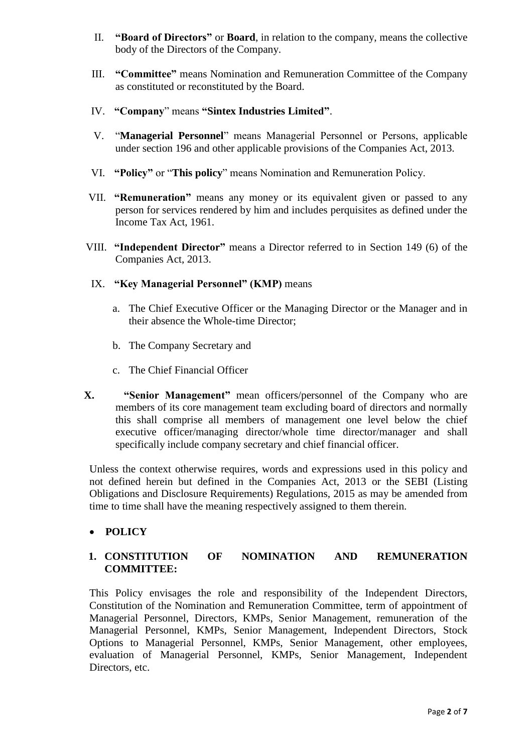- II. **"Board of Directors"** or **Board**, in relation to the company, means the collective body of the Directors of the Company.
- III. **"Committee"** means Nomination and Remuneration Committee of the Company as constituted or reconstituted by the Board.
- IV. **"Company**" means **"Sintex Industries Limited"**.
- V. "**Managerial Personnel**" means Managerial Personnel or Persons, applicable under section 196 and other applicable provisions of the Companies Act, 2013.
- VI. **"Policy"** or "**This policy**" means Nomination and Remuneration Policy.
- VII. **"Remuneration"** means any money or its equivalent given or passed to any person for services rendered by him and includes perquisites as defined under the Income Tax Act, 1961.
- VIII. **"Independent Director"** means a Director referred to in Section 149 (6) of the Companies Act, 2013.
- IX. **"Key Managerial Personnel" (KMP)** means
	- a. The Chief Executive Officer or the Managing Director or the Manager and in their absence the Whole-time Director;
	- b. The Company Secretary and
	- c. The Chief Financial Officer
- **X. "Senior Management"** mean officers/personnel of the Company who are members of its core management team excluding board of directors and normally this shall comprise all members of management one level below the chief executive officer/managing director/whole time director/manager and shall specifically include company secretary and chief financial officer.

Unless the context otherwise requires, words and expressions used in this policy and not defined herein but defined in the Companies Act, 2013 or the SEBI (Listing Obligations and Disclosure Requirements) Regulations, 2015 as may be amended from time to time shall have the meaning respectively assigned to them therein.

**POLICY**

## **1. CONSTITUTION OF NOMINATION AND REMUNERATION COMMITTEE:**

This Policy envisages the role and responsibility of the Independent Directors, Constitution of the Nomination and Remuneration Committee, term of appointment of Managerial Personnel, Directors, KMPs, Senior Management, remuneration of the Managerial Personnel, KMPs, Senior Management, Independent Directors, Stock Options to Managerial Personnel, KMPs, Senior Management, other employees, evaluation of Managerial Personnel, KMPs, Senior Management, Independent Directors, etc.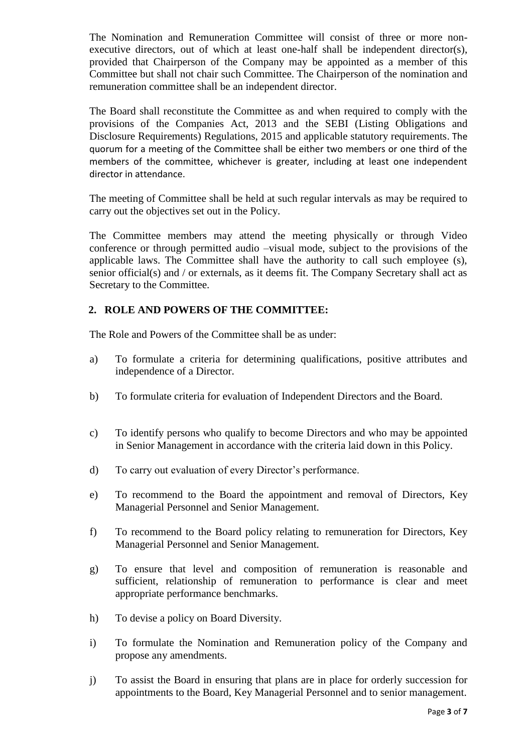The Nomination and Remuneration Committee will consist of three or more nonexecutive directors, out of which at least one-half shall be independent director(s), provided that Chairperson of the Company may be appointed as a member of this Committee but shall not chair such Committee. The Chairperson of the nomination and remuneration committee shall be an independent director.

The Board shall reconstitute the Committee as and when required to comply with the provisions of the Companies Act, 2013 and the SEBI (Listing Obligations and Disclosure Requirements) Regulations, 2015 and applicable statutory requirements. The quorum for a meeting of the Committee shall be either two members or one third of the members of the committee, whichever is greater, including at least one independent director in attendance.

The meeting of Committee shall be held at such regular intervals as may be required to carry out the objectives set out in the Policy.

The Committee members may attend the meeting physically or through Video conference or through permitted audio –visual mode, subject to the provisions of the applicable laws. The Committee shall have the authority to call such employee (s), senior official(s) and / or externals, as it deems fit. The Company Secretary shall act as Secretary to the Committee.

# **2. ROLE AND POWERS OF THE COMMITTEE:**

The Role and Powers of the Committee shall be as under:

- a) To formulate a criteria for determining qualifications, positive attributes and independence of a Director.
- b) To formulate criteria for evaluation of Independent Directors and the Board.
- c) To identify persons who qualify to become Directors and who may be appointed in Senior Management in accordance with the criteria laid down in this Policy.
- d) To carry out evaluation of every Director's performance.
- e) To recommend to the Board the appointment and removal of Directors, Key Managerial Personnel and Senior Management.
- f) To recommend to the Board policy relating to remuneration for Directors, Key Managerial Personnel and Senior Management.
- g) To ensure that level and composition of remuneration is reasonable and sufficient, relationship of remuneration to performance is clear and meet appropriate performance benchmarks.
- h) To devise a policy on Board Diversity.
- i) To formulate the Nomination and Remuneration policy of the Company and propose any amendments.
- j) To assist the Board in ensuring that plans are in place for orderly succession for appointments to the Board, Key Managerial Personnel and to senior management.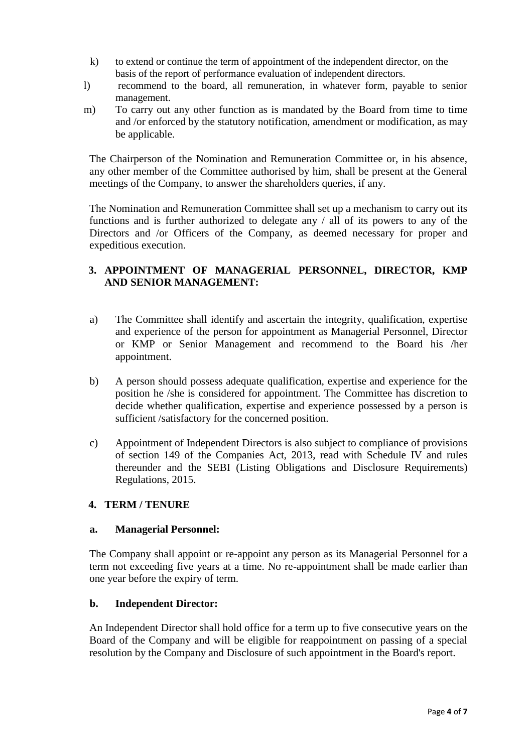- k) to extend or continue the term of appointment of the independent director, on the basis of the report of performance evaluation of independent directors.
- l) recommend to the board, all remuneration, in whatever form, payable to senior management.
- m) To carry out any other function as is mandated by the Board from time to time and /or enforced by the statutory notification, amendment or modification, as may be applicable.

The Chairperson of the Nomination and Remuneration Committee or, in his absence, any other member of the Committee authorised by him, shall be present at the General meetings of the Company, to answer the shareholders queries, if any.

The Nomination and Remuneration Committee shall set up a mechanism to carry out its functions and is further authorized to delegate any / all of its powers to any of the Directors and /or Officers of the Company, as deemed necessary for proper and expeditious execution.

# **3. APPOINTMENT OF MANAGERIAL PERSONNEL, DIRECTOR, KMP AND SENIOR MANAGEMENT:**

- a) The Committee shall identify and ascertain the integrity, qualification, expertise and experience of the person for appointment as Managerial Personnel, Director or KMP or Senior Management and recommend to the Board his /her appointment.
- b) A person should possess adequate qualification, expertise and experience for the position he /she is considered for appointment. The Committee has discretion to decide whether qualification, expertise and experience possessed by a person is sufficient /satisfactory for the concerned position.
- c) Appointment of Independent Directors is also subject to compliance of provisions of section 149 of the Companies Act, 2013, read with Schedule IV and rules thereunder and the SEBI (Listing Obligations and Disclosure Requirements) Regulations, 2015.

## **4. TERM / TENURE**

## **a. Managerial Personnel:**

The Company shall appoint or re-appoint any person as its Managerial Personnel for a term not exceeding five years at a time. No re-appointment shall be made earlier than one year before the expiry of term.

## **b. Independent Director:**

An Independent Director shall hold office for a term up to five consecutive years on the Board of the Company and will be eligible for reappointment on passing of a special resolution by the Company and Disclosure of such appointment in the Board's report.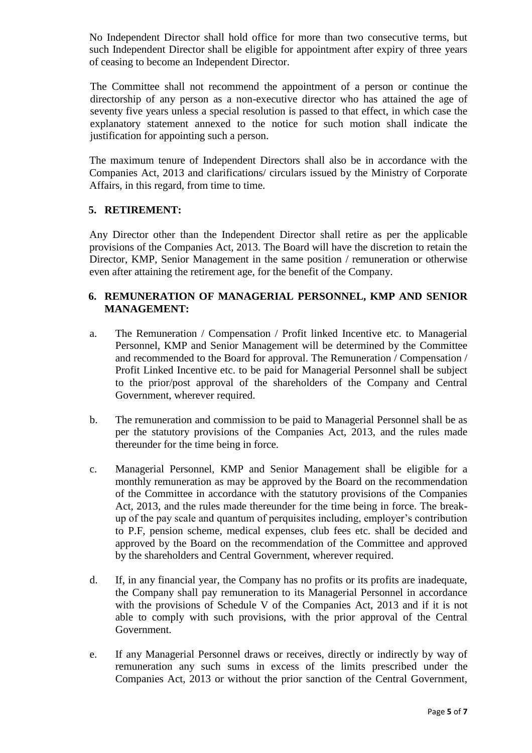No Independent Director shall hold office for more than two consecutive terms, but such Independent Director shall be eligible for appointment after expiry of three years of ceasing to become an Independent Director.

The Committee shall not recommend the appointment of a person or continue the directorship of any person as a non-executive director who has attained the age of seventy five years unless a special resolution is passed to that effect, in which case the explanatory statement annexed to the notice for such motion shall indicate the justification for appointing such a person.

The maximum tenure of Independent Directors shall also be in accordance with the Companies Act, 2013 and clarifications/ circulars issued by the Ministry of Corporate Affairs, in this regard, from time to time.

## **5. RETIREMENT:**

Any Director other than the Independent Director shall retire as per the applicable provisions of the Companies Act, 2013. The Board will have the discretion to retain the Director, KMP, Senior Management in the same position / remuneration or otherwise even after attaining the retirement age, for the benefit of the Company.

## **6. REMUNERATION OF MANAGERIAL PERSONNEL, KMP AND SENIOR MANAGEMENT:**

- a. The Remuneration / Compensation / Profit linked Incentive etc. to Managerial Personnel, KMP and Senior Management will be determined by the Committee and recommended to the Board for approval. The Remuneration / Compensation / Profit Linked Incentive etc. to be paid for Managerial Personnel shall be subject to the prior/post approval of the shareholders of the Company and Central Government, wherever required.
- b. The remuneration and commission to be paid to Managerial Personnel shall be as per the statutory provisions of the Companies Act, 2013, and the rules made thereunder for the time being in force.
- c. Managerial Personnel, KMP and Senior Management shall be eligible for a monthly remuneration as may be approved by the Board on the recommendation of the Committee in accordance with the statutory provisions of the Companies Act, 2013, and the rules made thereunder for the time being in force. The breakup of the pay scale and quantum of perquisites including, employer's contribution to P.F, pension scheme, medical expenses, club fees etc. shall be decided and approved by the Board on the recommendation of the Committee and approved by the shareholders and Central Government, wherever required.
- d. If, in any financial year, the Company has no profits or its profits are inadequate, the Company shall pay remuneration to its Managerial Personnel in accordance with the provisions of Schedule V of the Companies Act, 2013 and if it is not able to comply with such provisions, with the prior approval of the Central Government.
- e. If any Managerial Personnel draws or receives, directly or indirectly by way of remuneration any such sums in excess of the limits prescribed under the Companies Act, 2013 or without the prior sanction of the Central Government,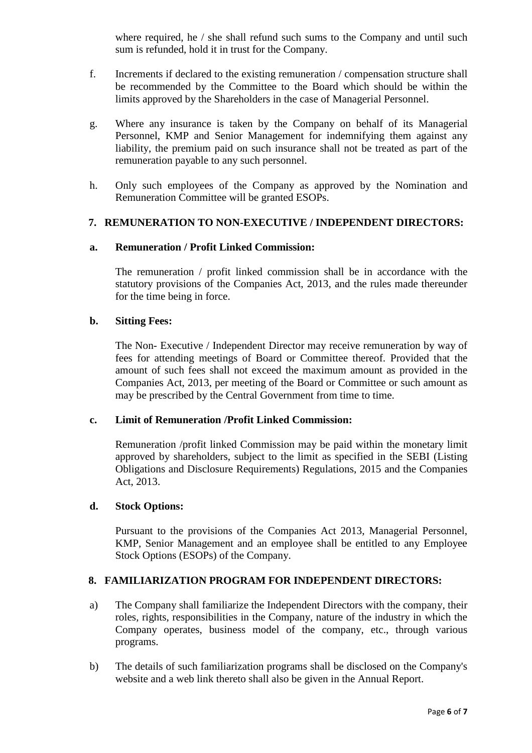where required, he / she shall refund such sums to the Company and until such sum is refunded, hold it in trust for the Company.

- f. Increments if declared to the existing remuneration / compensation structure shall be recommended by the Committee to the Board which should be within the limits approved by the Shareholders in the case of Managerial Personnel.
- g. Where any insurance is taken by the Company on behalf of its Managerial Personnel, KMP and Senior Management for indemnifying them against any liability, the premium paid on such insurance shall not be treated as part of the remuneration payable to any such personnel.
- h. Only such employees of the Company as approved by the Nomination and Remuneration Committee will be granted ESOPs.

## **7. REMUNERATION TO NON-EXECUTIVE / INDEPENDENT DIRECTORS:**

#### **a. Remuneration / Profit Linked Commission:**

The remuneration / profit linked commission shall be in accordance with the statutory provisions of the Companies Act, 2013, and the rules made thereunder for the time being in force.

#### **b. Sitting Fees:**

The Non- Executive / Independent Director may receive remuneration by way of fees for attending meetings of Board or Committee thereof. Provided that the amount of such fees shall not exceed the maximum amount as provided in the Companies Act, 2013, per meeting of the Board or Committee or such amount as may be prescribed by the Central Government from time to time.

#### **c. Limit of Remuneration /Profit Linked Commission:**

Remuneration /profit linked Commission may be paid within the monetary limit approved by shareholders, subject to the limit as specified in the SEBI (Listing Obligations and Disclosure Requirements) Regulations, 2015 and the Companies Act, 2013.

## **d. Stock Options:**

Pursuant to the provisions of the Companies Act 2013, Managerial Personnel, KMP, Senior Management and an employee shall be entitled to any Employee Stock Options (ESOPs) of the Company.

## **8. FAMILIARIZATION PROGRAM FOR INDEPENDENT DIRECTORS:**

- a) The Company shall familiarize the Independent Directors with the company, their roles, rights, responsibilities in the Company, nature of the industry in which the Company operates, business model of the company, etc., through various programs.
- b) The details of such familiarization programs shall be disclosed on the Company's website and a web link thereto shall also be given in the Annual Report.